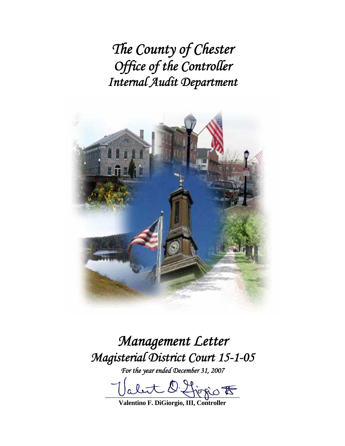*The County of Chester Office of the Controller Internal Audit Department*



*Management Letter Magisterial District Court 15-1-05* 

*For the year ended December 31, 2007* 

let 2 for  $\circ$ 

**Valentino F. DiGiorgio, III, Controller**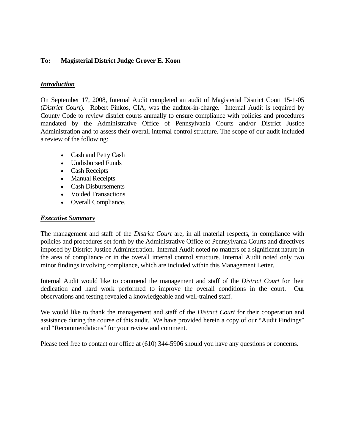## **To: Magisterial District Judge Grover E. Koon**

### *Introduction*

On September 17, 2008, Internal Audit completed an audit of Magisterial District Court 15-1-05 (*District Court*). Robert Pinkos, CIA, was the auditor-in-charge. Internal Audit is required by County Code to review district courts annually to ensure compliance with policies and procedures mandated by the Administrative Office of Pennsylvania Courts and/or District Justice Administration and to assess their overall internal control structure. The scope of our audit included a review of the following:

- Cash and Petty Cash
- Undisbursed Funds
- Cash Receipts
- Manual Receipts
- Cash Disbursements
- Voided Transactions
- Overall Compliance.

#### *Executive Summary*

The management and staff of the *District Court* are, in all material respects, in compliance with policies and procedures set forth by the Administrative Office of Pennsylvania Courts and directives imposed by District Justice Administration. Internal Audit noted no matters of a significant nature in the area of compliance or in the overall internal control structure. Internal Audit noted only two minor findings involving compliance, which are included within this Management Letter.

Internal Audit would like to commend the management and staff of the *District Court* for their dedication and hard work performed to improve the overall conditions in the court. Our observations and testing revealed a knowledgeable and well-trained staff.

We would like to thank the management and staff of the *District Court* for their cooperation and assistance during the course of this audit. We have provided herein a copy of our "Audit Findings" and "Recommendations" for your review and comment.

Please feel free to contact our office at (610) 344-5906 should you have any questions or concerns.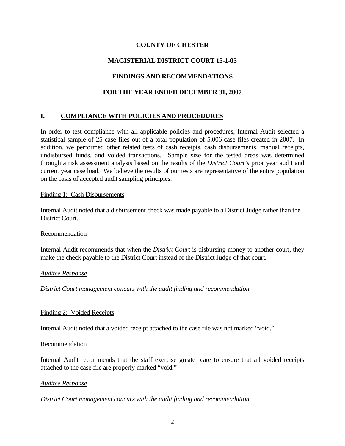## **COUNTY OF CHESTER**

# **MAGISTERIAL DISTRICT COURT 15-1-05**

# **FINDINGS AND RECOMMENDATIONS**

# **FOR THE YEAR ENDED DECEMBER 31, 2007**

# **I. COMPLIANCE WITH POLICIES AND PROCEDURES**

In order to test compliance with all applicable policies and procedures, Internal Audit selected a statistical sample of 25 case files out of a total population of 5,006 case files created in 2007. In addition, we performed other related tests of cash receipts, cash disbursements, manual receipts, undisbursed funds, and voided transactions. Sample size for the tested areas was determined through a risk assessment analysis based on the results of the *District Court's* prior year audit and current year case load. We believe the results of our tests are representative of the entire population on the basis of accepted audit sampling principles.

### Finding 1: Cash Disbursements

Internal Audit noted that a disbursement check was made payable to a District Judge rather than the District Court.

### Recommendation

Internal Audit recommends that when the *District Court* is disbursing money to another court, they make the check payable to the District Court instead of the District Judge of that court.

#### *Auditee Response*

*District Court management concurs with the audit finding and recommendation.* 

### Finding 2: Voided Receipts

Internal Audit noted that a voided receipt attached to the case file was not marked "void."

#### Recommendation

Internal Audit recommends that the staff exercise greater care to ensure that all voided receipts attached to the case file are properly marked "void."

#### *Auditee Response*

*District Court management concurs with the audit finding and recommendation.*